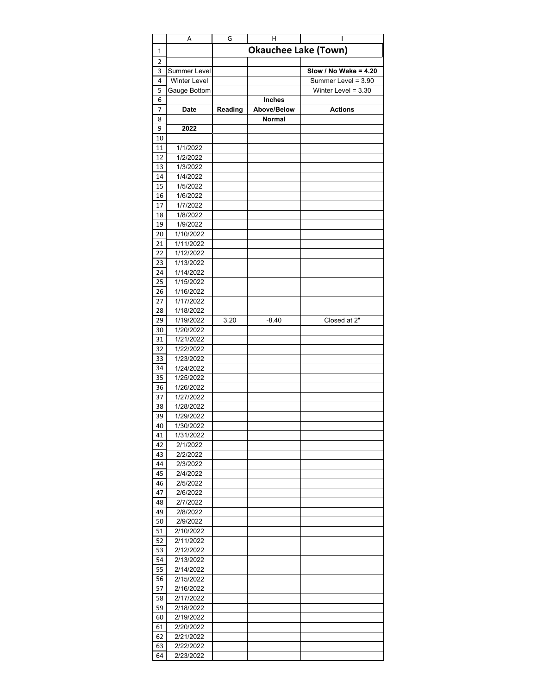|          | Α                      | G                           | н           | L                       |  |  |
|----------|------------------------|-----------------------------|-------------|-------------------------|--|--|
| 1        |                        | <b>Okauchee Lake (Town)</b> |             |                         |  |  |
| 2        |                        |                             |             |                         |  |  |
| 3        | Summer Level           |                             |             | Slow / No Wake = $4.20$ |  |  |
| 4        | <b>Winter Level</b>    |                             |             | Summer Level = $3.90$   |  |  |
| 5        | Gauge Bottom           |                             |             | Winter Level = $3.30$   |  |  |
| 6        |                        |                             | Inches      |                         |  |  |
| 7        | Date                   | Reading                     | Above/Below | <b>Actions</b>          |  |  |
| 8        | 2022                   |                             | Normal      |                         |  |  |
| 9        |                        |                             |             |                         |  |  |
| 10<br>11 | 1/1/2022               |                             |             |                         |  |  |
| 12       | 1/2/2022               |                             |             |                         |  |  |
| 13       | 1/3/2022               |                             |             |                         |  |  |
| 14       | 1/4/2022               |                             |             |                         |  |  |
| 15       | 1/5/2022               |                             |             |                         |  |  |
| 16       | 1/6/2022               |                             |             |                         |  |  |
| 17       | 1/7/2022               |                             |             |                         |  |  |
| 18       | 1/8/2022               |                             |             |                         |  |  |
| 19       | 1/9/2022               |                             |             |                         |  |  |
| 20       | 1/10/2022              |                             |             |                         |  |  |
| 21       | 1/11/2022              |                             |             |                         |  |  |
| 22       | 1/12/2022              |                             |             |                         |  |  |
| 23       | 1/13/2022              |                             |             |                         |  |  |
| 24       | 1/14/2022              |                             |             |                         |  |  |
| 25<br>26 | 1/15/2022<br>1/16/2022 |                             |             |                         |  |  |
| 27       | 1/17/2022              |                             |             |                         |  |  |
| 28       | 1/18/2022              |                             |             |                         |  |  |
| 29       | 1/19/2022              | 3.20                        | $-8.40$     | Closed at 2"            |  |  |
| 30       | 1/20/2022              |                             |             |                         |  |  |
| 31       | 1/21/2022              |                             |             |                         |  |  |
| 32       | 1/22/2022              |                             |             |                         |  |  |
| 33       | 1/23/2022              |                             |             |                         |  |  |
| 34       | 1/24/2022              |                             |             |                         |  |  |
| 35       | 1/25/2022              |                             |             |                         |  |  |
| 36       | 1/26/2022              |                             |             |                         |  |  |
| 37       | 1/27/2022              |                             |             |                         |  |  |
| 38       | 1/28/2022              |                             |             |                         |  |  |
| 39       | 1/29/2022              |                             |             |                         |  |  |
| 40       | 1/30/2022              |                             |             |                         |  |  |
| 41       | 1/31/2022              |                             |             |                         |  |  |
| 42<br>43 | 2/1/2022<br>2/2/2022   |                             |             |                         |  |  |
| 44       | 2/3/2022               |                             |             |                         |  |  |
| 45       | 2/4/2022               |                             |             |                         |  |  |
| 46       | 2/5/2022               |                             |             |                         |  |  |
| 47       | 2/6/2022               |                             |             |                         |  |  |
| 48       | 2/7/2022               |                             |             |                         |  |  |
| 49       | 2/8/2022               |                             |             |                         |  |  |
| 50       | 2/9/2022               |                             |             |                         |  |  |
| 51       | 2/10/2022              |                             |             |                         |  |  |
| 52       | 2/11/2022              |                             |             |                         |  |  |
| 53       | 2/12/2022              |                             |             |                         |  |  |
| 54       | 2/13/2022              |                             |             |                         |  |  |
| 55       | 2/14/2022              |                             |             |                         |  |  |
| 56       | 2/15/2022              |                             |             |                         |  |  |
| 57       | 2/16/2022              |                             |             |                         |  |  |
| 58<br>59 | 2/17/2022<br>2/18/2022 |                             |             |                         |  |  |
| 60       | 2/19/2022              |                             |             |                         |  |  |
| 61       | 2/20/2022              |                             |             |                         |  |  |
| 62       | 2/21/2022              |                             |             |                         |  |  |
| 63       | 2/22/2022              |                             |             |                         |  |  |
| 64       | 2/23/2022              |                             |             |                         |  |  |
|          |                        |                             |             |                         |  |  |